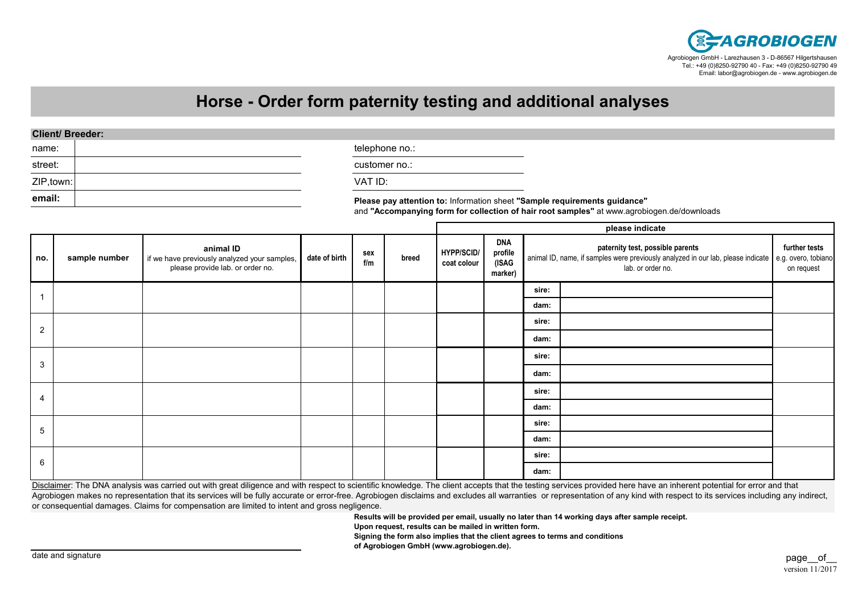

## **Horse - Order form paternity testing and additional analyses**

## **Client/ Breeder:**

| name:      | telephone no.:                                                            |  |
|------------|---------------------------------------------------------------------------|--|
| street:    | customer no.:                                                             |  |
| ZIP, town: | VAT ID:                                                                   |  |
| email:     | Please pay attention to: Information sheet "Sample requirements guidance" |  |

and **"Accompanying form for collection of hair root samples"** at www.agrobiogen.de/downloads

|                |               |                                                                                               |               |            |       | please indicate                  |                                           |                                                                                                                                                               |  |                             |
|----------------|---------------|-----------------------------------------------------------------------------------------------|---------------|------------|-------|----------------------------------|-------------------------------------------|---------------------------------------------------------------------------------------------------------------------------------------------------------------|--|-----------------------------|
| no.            | sample number | animal ID<br>if we have previously analyzed your samples,<br>please provide lab. or order no. | date of birth | sex<br>f/m | breed | <b>HYPP/SCID/</b><br>coat colour | <b>DNA</b><br>profile<br>(ISAG<br>marker) | paternity test, possible parents<br>animal ID, name, if samples were previously analyzed in our lab, please indicate e.g. overo, tobiano<br>lab. or order no. |  | further tests<br>on request |
|                |               |                                                                                               |               |            |       |                                  |                                           | sire:                                                                                                                                                         |  |                             |
|                |               |                                                                                               |               |            |       |                                  |                                           | dam:                                                                                                                                                          |  |                             |
| $\overline{2}$ |               |                                                                                               |               |            |       |                                  |                                           | sire:                                                                                                                                                         |  |                             |
|                |               |                                                                                               |               |            |       |                                  |                                           | dam:                                                                                                                                                          |  |                             |
| 3              |               |                                                                                               |               |            |       |                                  |                                           | sire:                                                                                                                                                         |  |                             |
|                |               |                                                                                               |               |            |       |                                  |                                           | dam:                                                                                                                                                          |  |                             |
| 4              |               |                                                                                               |               |            |       |                                  |                                           | sire:                                                                                                                                                         |  |                             |
|                |               |                                                                                               |               |            |       |                                  |                                           | dam:                                                                                                                                                          |  |                             |
| 5              |               |                                                                                               |               |            |       |                                  |                                           | sire:                                                                                                                                                         |  |                             |
|                |               |                                                                                               |               |            |       |                                  |                                           | dam:                                                                                                                                                          |  |                             |
| 6              |               |                                                                                               |               |            |       |                                  |                                           | sire:                                                                                                                                                         |  |                             |
|                |               |                                                                                               |               |            |       |                                  |                                           | dam:                                                                                                                                                          |  |                             |

Disclaimer: The DNA analysis was carried out with great diligence and with respect to scientific knowledge. The client accepts that the testing services provided here have an inherent potential for error and that Agrobiogen makes no representation that its services will be fully accurate or error-free. Agrobiogen disclaims and excludes all warranties or representation of any kind with respect to its services including any indirect, or consequential damages. Claims for compensation are limited to intent and gross negligence.

**Results will be provided per email, usually no later than 14 working days after sample receipt.**

**Upon request, results can be mailed in written form.**

**Signing the form also implies that the client agrees to terms and conditions**

**of Agrobiogen GmbH (www.agrobiogen.de).**